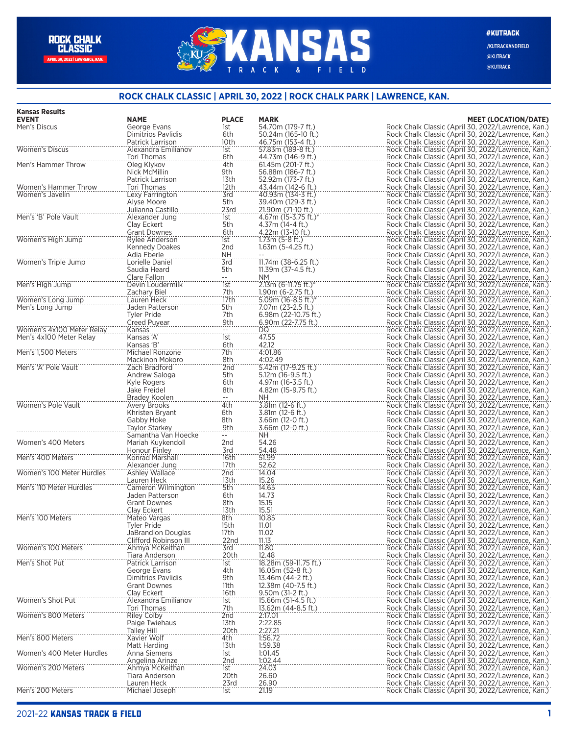## **ANSAS** A C K FIELD  $\mathsf{R}$  $\mathbf{g}$

/KUTRACKANDFIELD @KUTRACK @KUTRACK

## **ROCK CHALK CLASSIC | APRIL 30, 2022 | ROCK CHALK PARK | LAWRENCE, KAN.**

| <b>Kansas Results</b>     |                                          |                   |                                            |                                                                                                          |
|---------------------------|------------------------------------------|-------------------|--------------------------------------------|----------------------------------------------------------------------------------------------------------|
| <b>EVENT</b>              | <b>NAME</b>                              | <b>PLACE</b>      | <b>MARK</b>                                | <b>MEET (LOCATION/DATE)</b>                                                                              |
| Men's Discus              | George Evans<br>Dimitrios Pavlidis       | 1st               | 54.70m (179-7 ft.)                         | Rock Chalk Classic (April 30, 2022/Lawrence, Kan.)<br>Rock Chalk Classic (April 30, 2022/Lawrence, Kan.) |
|                           | Patrick Larrison                         | 6th<br>10th       | 50.24m (165-10 ft.)<br>46.75m (153-4 ft.)  | Rock Chalk Classic (April 30, 2022/Lawrence, Kan.)                                                       |
| <b>Women's Discus</b>     | Alexandra Emilianov                      | 1st               | 57.83m (189-8 ft.)                         | Rock Chalk Classic (April 30, 2022/Lawrence, Kan.)                                                       |
|                           | Tori Thomas                              | 6th               | 44.73m (146-9 ft.)                         | Rock Chalk Classic (April 30, 2022/Lawrence, Kan.)                                                       |
| Men's Hammer Throw        | Oleg Klykov                              | 4th               | 61.45m (201-7 ft.)                         | Rock Chalk Classic (April 30, 2022/Lawrence, Kan.)                                                       |
|                           | Nick McMillin                            | 9th               | 56.88m (186-7 ft.)                         | Rock Chalk Classic (April 30, 2022/Lawrence, Kan.)                                                       |
|                           | Patrick Larrison                         | 13th              | 52.92m (173-7 ft.)                         | Rock Chalk Classic (April 30, 2022/Lawrence, Kan.)                                                       |
| Women's Hammer Throw      | Tori Thomas                              | 12th              | 43.44m (142-6 ft.)                         | Rock Chalk Classic (April 30, 2022/Lawrence, Kan.)                                                       |
| Women's Javelin           | Lexy Farrington                          | 3rd               | 40.93m (134-3 ft.)                         | Rock Chalk Classic (April 30, 2022/Lawrence, Kan.)                                                       |
|                           | Alyse Moore                              | 5th               | 39.40m (129-3 ft.)                         | Rock Chalk Classic (April 30, 2022/Lawrence, Kan.)                                                       |
| Men's 'B' Pole Vault      | Julianna Castillo                        | 23rd              | 21.90m (71-10 ft.)<br>4.67m (15-3.75 ft.)* | Rock Chalk Classic (April 30, 2022/Lawrence, Kan.)                                                       |
|                           | Alexander Jung<br>Clav Eckert            | 1st<br>5th        | 4.37m (14-4 ft.)                           | Rock Chalk Classic (April 30, 2022/Lawrence, Kan.)<br>Rock Chalk Classic (April 30, 2022/Lawrence, Kan.) |
|                           | <b>Grant Downes</b>                      | 6th               | 4.22m (13-10 ft.)                          | Rock Chalk Classic (April 30, 2022/Lawrence, Kan.)                                                       |
| Women's High Jump         | Rylee Anderson                           | 1st               | $1.73m(5-8 ft.)$                           | Rock Chalk Classic (April 30, 2022/Lawrence, Kan.)                                                       |
|                           | Kennedy Doakes                           | 2nd               | $1.63m(5-4.25 ft.)$                        | Rock Chalk Classic (April 30, 2022/Lawrence, Kan.)                                                       |
|                           | Adia Eberle                              | <b>NH</b>         |                                            | Rock Chalk Classic (April 30, 2022/Lawrence, Kan.)                                                       |
| Women's Triple Jump       | Lorielle Daniel                          | 3rd               | 11.74m (38-6.25 ft.)                       | Rock Chalk Classic (April 30, 2022/Lawrence, Kan.)                                                       |
|                           | Saudia Heard                             | 5th               | 11.39m (37-4.5 ft.)                        | Rock Chalk Classic (April 30, 2022/Lawrence, Kan.)                                                       |
|                           | Clare Fallon                             | $-$               | NM.                                        | Rock Chalk Classic (April 30, 2022/Lawrence, Kan.)                                                       |
| Men's High Jump           | Devin Loudermilk                         | $\overline{1}$ st | 2.13m (6-11.75 ft.)*                       | Rock Chalk Classic (April 30, 2022/Lawrence, Kan.)                                                       |
|                           | Zachary Biel                             | 7th               | 1.90m (6-2.75 ft.)                         | Rock Chalk Classic (April 30, 2022/Lawrence, Kan.)                                                       |
| Women's Long Jump         | Lauren Heck<br>Jaden Patterson           | 17th<br>5th       | $5.09m(16-8.5ft.)$ *<br>7.07m (23-2.5 ft.) | Rock Chalk Classic (April 30, 2022/Lawrence, Kan.)<br>Rock Chalk Classic (April 30, 2022/Lawrence, Kan.) |
| Men's Long Jump           | <b>Tyler Pride</b>                       | 7th               | 6.98m (22-10.75 ft.)                       | Rock Chalk Classic (April 30, 2022/Lawrence, Kan.)                                                       |
|                           | <b>Creed Puvear</b>                      | 9th               | 6.90m (22-7.75 ft.)                        | Rock Chalk Classic (April 30, 2022/Lawrence, Kan.)                                                       |
| Women's 4x100 Meter Relay | Kansas                                   | $- -$             | DQ                                         | Rock Chalk Classic (April 30, 2022/Lawrence, Kan.)                                                       |
| Men's 4x100 Meter Relay   | Kansas 'A'                               | 1st               | 47.55                                      | Rock Chalk Classic (April 30, 2022/Lawrence, Kan.)                                                       |
|                           | Kansas 'B'                               | 6th               | 42.12                                      | Rock Chalk Classic (April 30, 2022/Lawrence, Kan.)                                                       |
| Men's 1,500 Meters        | Michael Ronzone                          | 7th               | 4:01.86                                    | Rock Chalk Classic (April 30, 2022/Lawrence, Kan.)                                                       |
|                           | Mackinon Mokoro                          | 8th               | 4:02.49                                    | Rock Chalk Classic (April 30, 2022/Lawrence, Kan.)                                                       |
| Men's 'A' Pole Vault      | Zach Bradford                            | 2nd               | 5.42m (17-9.25 ft.)                        | Rock Chalk Classic (April 30, 2022/Lawrence, Kan.)                                                       |
|                           | Andrew Saloga                            | 5th               | $5.12m(16-9.5 ft.)$                        | Rock Chalk Classic (April 30, 2022/Lawrence, Kan.)                                                       |
|                           | Kyle Rogers<br>Jake Freidel              | 6th<br>8th        | 4.97m (16-3.5 ft.)                         | Rock Chalk Classic (April 30, 2022/Lawrence, Kan.)<br>Rock Chalk Classic (April 30, 2022/Lawrence, Kan.) |
|                           | Bradey Koolen                            |                   | 4.82m (15-9.75 ft.)<br>NH.                 | Rock Chalk Classic (April 30, 2022/Lawrence, Kan.)                                                       |
| Women's Pole Vault        | Avery Brooks                             | 4th               | 3.81m (12-6 ft.)                           | Rock Chalk Classic (April 30, 2022/Lawrence, Kan.)                                                       |
|                           | Khristen Bryant                          | 6th               | 3.81m (12-6 ft.)                           | Rock Chalk Classic (April 30, 2022/Lawrence, Kan.)                                                       |
|                           | Gabby Hoke                               | 8th               | 3.66m (12-0 ft.)                           | Rock Chalk Classic (April 30, 2022/Lawrence, Kan.)                                                       |
|                           | Taylor Starkey                           | 9th               | 3.66m (12-0 ft.)                           | Rock Chalk Classic (April 30, 2022/Lawrence, Kan.)                                                       |
|                           | Samantha Van Hoecke                      |                   | NH.                                        | Rock Chalk Classic (April 30, 2022/Lawrence, Kan.)                                                       |
| Women's 400 Meters        | Mariah Kuykendoll                        | 2nd               | 54.26                                      | Rock Chalk Classic (April 30, 2022/Lawrence, Kan.)                                                       |
|                           | Honour Finley                            | 3rd               | 54.48                                      | Rock Chalk Classic (April 30, 2022/Lawrence, Kan.)                                                       |
| Men's 400 Meters          | Konrad Marshall                          | 16th              | 51.99                                      | Rock Chalk Classic (April 30, 2022/Lawrence, Kan.)                                                       |
| Women's 100 Meter Hurdles | Alexander Jung<br>Ashley Wallace         | 17th<br>2nd       | 52.62<br>14.04                             | Rock Chalk Classic (April 30, 2022/Lawrence, Kan.)<br>Rock Chalk Classic (April 30, 2022/Lawrence, Kan.) |
|                           | Lauren Heck                              | 13th              | 15.26                                      | Rock Chalk Classic (April 30, 2022/Lawrence, Kan.)                                                       |
| Men's 110 Meter Hurdles   | Cameron Wilmington                       | 5th               | 14.65                                      | Rock Chalk Classic (April 30, 2022/Lawrence, Kan.)                                                       |
|                           | Jaden Patterson                          | 6th               | 14.73                                      | Rock Chalk Classic (April 30, 2022/Lawrence, Kan.)                                                       |
|                           | <b>Grant Downes</b>                      | 8th               | 15.15                                      | Rock Chalk Classic (April 30, 2022/Lawrence, Kan.)                                                       |
|                           | Clay Eckert                              | 13th              | 15.51                                      | Rock Chalk Classic (April 30, 2022/Lawrence, Kan.)                                                       |
| Men's 100 Meters          | Mateo Vargas                             | 8th               | 10.85                                      | Rock Chalk Classic (April 30, 2022/Lawrence, Kan.)                                                       |
|                           | Tyler Pride                              | 15th              | 11.01                                      | Rock Chalk Classic (April 30, 2022/Lawrence, Kan.)                                                       |
|                           | <b>JaBrandion Douglas</b>                | 17th              | 11.02                                      | Rock Chalk Classic (April 30, 2022/Lawrence, Kan.)                                                       |
|                           | Clifford Robinson III<br>Ahmya McKeithan | 22nd              | 11.13                                      | Rock Chalk Classic (April 30, 2022/Lawrence, Kan.)                                                       |
| Women's 100 Meters        | Tiara Anderson                           | 3rd<br>20th       | 11.80<br>12.48                             | Rock Chalk Classic (April 30, 2022/Lawrence, Kan.)<br>Rock Chalk Classic (April 30, 2022/Lawrence, Kan.) |
| Men's Shot Put            | Patrick Larrison                         | 1st               | 18.28m (59-11.75 ft.)                      | Rock Chalk Classic (April 30, 2022/Lawrence, Kan.)                                                       |
|                           | George Evans                             | 4th               | 16.05m (52-8 ft.)                          | Rock Chalk Classic (April 30, 2022/Lawrence, Kan.)                                                       |
|                           | <b>Dimitrios Pavlidis</b>                | 9th               | 13.46m (44-2 ft.)                          | Rock Chalk Classic (April 30, 2022/Lawrence, Kan.)                                                       |
|                           | <b>Grant Downes</b>                      | 11th              | 12.38m (40-7.5 ft.)                        | Rock Chalk Classic (April 30, 2022/Lawrence, Kan.)                                                       |
|                           | Clay Eckert                              | 16th              | $9.50m(31-2 ft.)$                          | Rock Chalk Classic (April 30, 2022/Lawrence, Kan.)                                                       |
| Women's Shot Put          | Alexandra Emilianov                      | 1st               | 15.66m (51-4.5 ft.)                        | Rock Chalk Classic (April 30, 2022/Lawrence, Kan.)                                                       |
|                           | Tori Thomas                              | 7th               | 13.62m (44-8.5 ft.)                        | Rock Chalk Classic (April 30, 2022/Lawrence, Kan.)                                                       |
| Women's 800 Meters        | <b>Riley Colby</b>                       | 2nd               | 2:17.01                                    | Rock Chalk Classic (April 30, 2022/Lawrence, Kan.)                                                       |
|                           | Paige Twiehaus                           | 13th              | 2:22.85                                    | Rock Chalk Classic (April 30, 2022/Lawrence, Kan.)                                                       |
| Men's 800 Meters          | Talley Hill<br>Xavier Wolf               | 20th<br>4th       | 2:27.21<br>1:56.72                         | Rock Chalk Classic (April 30, 2022/Lawrence, Kan.)<br>Rock Chalk Classic (April 30, 2022/Lawrence, Kan.) |
|                           | Matt Harding                             | 13th              | 1:59.38                                    | Rock Chalk Classic (April 30, 2022/Lawrence, Kan.)                                                       |
| Women's 400 Meter Hurdles | Anna Siemens                             | 1st               | 1:01.45                                    | Rock Chalk Classic (April 30, 2022/Lawrence, Kan.)                                                       |
|                           | Angelina Arinze                          | 2nd               | 1:02.44                                    | Rock Chalk Classic (April 30, 2022/Lawrence, Kan.)                                                       |
| Women's 200 Meters        | Ahmya McKeithan                          | 1st               | 24.03                                      | Rock Chalk Classic (April 30, 2022/Lawrence, Kan.)                                                       |
|                           | Tiara Anderson                           | 20th              | 26.60                                      | Rock Chalk Classic (April 30, 2022/Lawrence, Kan.)                                                       |
|                           | Lauren Heck                              | 23rd              | 26.90                                      | Rock Chalk Classic (April 30, 2022/Lawrence, Kan.)                                                       |
| Men's 200 Meters          | Michael Joseph                           | 1st               | 21.19                                      | Rock Chalk Classic (April 30, 2022/Lawrence, Kan.)                                                       |